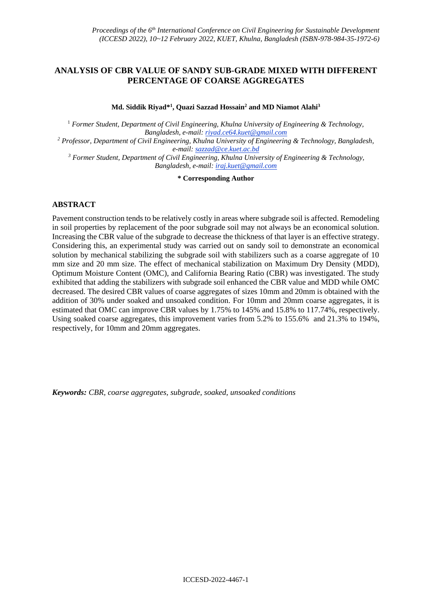# **ANALYSIS OF CBR VALUE OF SANDY SUB-GRADE MIXED WITH DIFFERENT PERCENTAGE OF COARSE AGGREGATES**

**Md. Siddik Riyad\* 1 , Quazi Sazzad Hossain<sup>2</sup> and MD Niamot Alahi<sup>3</sup>**

<sup>1</sup> *Former Student, Department of Civil Engineering, Khulna University of Engineering & Technology, Bangladesh, e-mail: riyad.ce64.kuet@gmail.com <sup>2</sup> Professor, Department of Civil Engineering, Khulna University of Engineering & Technology, Bangladesh, e-mail: sazzad@ce.kuet.ac.bd <sup>3</sup> Former Student, Department of Civil Engineering, Khulna University of Engineering & Technology, Bangladesh, e-mail: iraj.kuet@gmail.com*

**\* Corresponding Author**

### **ABSTRACT**

Pavement construction tends to be relatively costly in areas where subgrade soil is affected. Remodeling in soil properties by replacement of the poor subgrade soil may not always be an economical solution. Increasing the CBR value of the subgrade to decrease the thickness of that layer is an effective strategy. Considering this, an experimental study was carried out on sandy soil to demonstrate an economical solution by mechanical stabilizing the subgrade soil with stabilizers such as a coarse aggregate of 10 mm size and 20 mm size. The effect of mechanical stabilization on Maximum Dry Density (MDD), Optimum Moisture Content (OMC), and California Bearing Ratio (CBR) was investigated. The study exhibited that adding the stabilizers with subgrade soil enhanced the CBR value and MDD while OMC decreased. The desired CBR values of coarse aggregates of sizes 10mm and 20mm is obtained with the addition of 30% under soaked and unsoaked condition. For 10mm and 20mm coarse aggregates, it is estimated that OMC can improve CBR values by 1.75% to 145% and 15.8% to 117.74%, respectively. Using soaked coarse aggregates, this improvement varies from 5.2% to 155.6% and 21.3% to 194%, respectively, for 10mm and 20mm aggregates.

*Keywords: CBR, coarse aggregates, subgrade, soaked, unsoaked conditions*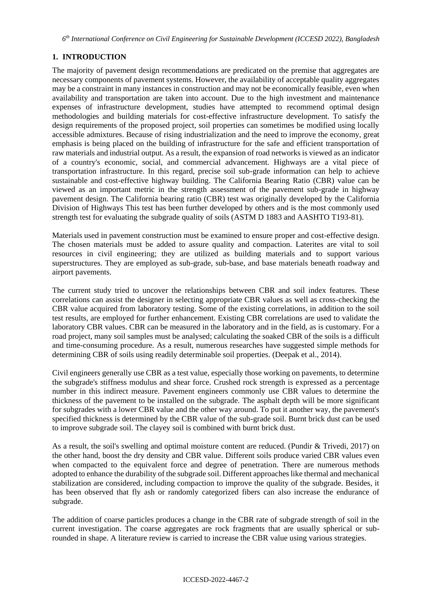*6 th International Conference on Civil Engineering for Sustainable Development (ICCESD 2022), Bangladesh*

# **1. INTRODUCTION**

The majority of pavement design recommendations are predicated on the premise that aggregates are necessary components of pavement systems. However, the availability of acceptable quality aggregates may be a constraint in many instances in construction and may not be economically feasible, even when availability and transportation are taken into account. Due to the high investment and maintenance expenses of infrastructure development, studies have attempted to recommend optimal design methodologies and building materials for cost-effective infrastructure development. To satisfy the design requirements of the proposed project, soil properties can sometimes be modified using locally accessible admixtures. Because of rising industrialization and the need to improve the economy, great emphasis is being placed on the building of infrastructure for the safe and efficient transportation of raw materials and industrial output. As a result, the expansion of road networks is viewed as an indicator of a country's economic, social, and commercial advancement. Highways are a vital piece of transportation infrastructure. In this regard, precise soil sub-grade information can help to achieve sustainable and cost-effective highway building. The California Bearing Ratio (CBR) value can be viewed as an important metric in the strength assessment of the pavement sub-grade in highway pavement design. The California bearing ratio (CBR) test was originally developed by the California Division of Highways This test has been further developed by others and is the most commonly used strength test for evaluating the subgrade quality of soils (ASTM D 1883 and AASHTO T193-81).

Materials used in pavement construction must be examined to ensure proper and cost-effective design. The chosen materials must be added to assure quality and compaction. Laterites are vital to soil resources in civil engineering; they are utilized as building materials and to support various superstructures. They are employed as sub-grade, sub-base, and base materials beneath roadway and airport pavements.

The current study tried to uncover the relationships between CBR and soil index features. These correlations can assist the designer in selecting appropriate CBR values as well as cross-checking the CBR value acquired from laboratory testing. Some of the existing correlations, in addition to the soil test results, are employed for further enhancement. Existing CBR correlations are used to validate the laboratory CBR values. CBR can be measured in the laboratory and in the field, as is customary. For a road project, many soil samples must be analysed; calculating the soaked CBR of the soils is a difficult and time-consuming procedure. As a result, numerous researches have suggested simple methods for determining CBR of soils using readily determinable soil properties. (Deepak et al., 2014).

Civil engineers generally use CBR as a test value, especially those working on pavements, to determine the subgrade's stiffness modulus and shear force. Crushed rock strength is expressed as a percentage number in this indirect measure. Pavement engineers commonly use CBR values to determine the thickness of the pavement to be installed on the subgrade. The asphalt depth will be more significant for subgrades with a lower CBR value and the other way around. To put it another way, the pavement's specified thickness is determined by the CBR value of the sub-grade soil. Burnt brick dust can be used to improve subgrade soil. The clayey soil is combined with burnt brick dust.

As a result, the soil's swelling and optimal moisture content are reduced. (Pundir & Trivedi, 2017) on the other hand, boost the dry density and CBR value. Different soils produce varied CBR values even when compacted to the equivalent force and degree of penetration. There are numerous methods adopted to enhance the durability of the subgrade soil. Different approaches like thermal and mechanical stabilization are considered, including compaction to improve the quality of the subgrade. Besides, it has been observed that fly ash or randomly categorized fibers can also increase the endurance of subgrade.

The addition of coarse particles produces a change in the CBR rate of subgrade strength of soil in the current investigation. The coarse aggregates are rock fragments that are usually spherical or subrounded in shape. A literature review is carried to increase the CBR value using various strategies.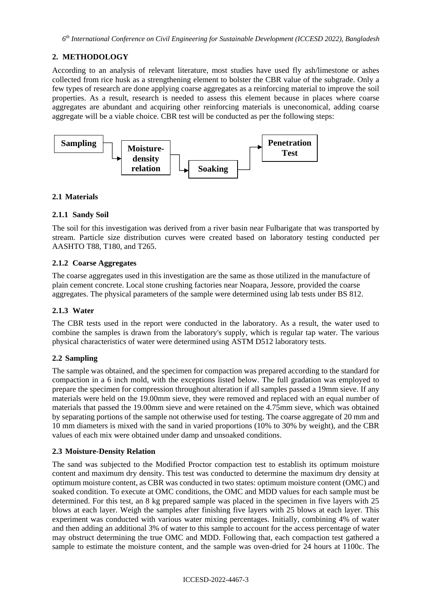# **2. METHODOLOGY**

According to an analysis of relevant literature, most studies have used fly ash/limestone or ashes collected from rice husk as a strengthening element to bolster the CBR value of the subgrade. Only a few types of research are done applying coarse aggregates as a reinforcing material to improve the soil properties. As a result, research is needed to assess this element because in places where coarse aggregates are abundant and acquiring other reinforcing materials is uneconomical, adding coarse aggregate will be a viable choice. CBR test will be conducted as per the following steps:



## **2.1 Materials**

### **2.1.1 Sandy Soil**

The soil for this investigation was derived from a river basin near Fulbarigate that was transported by stream. Particle size distribution curves were created based on laboratory testing conducted per AASHTO T88, T180, and T265.

### **2.1.2 Coarse Aggregates**

The coarse aggregates used in this investigation are the same as those utilized in the manufacture of plain cement concrete. Local stone crushing factories near Noapara, Jessore, provided the coarse aggregates. The physical parameters of the sample were determined using lab tests under BS 812.

## **2.1.3 Water**

The CBR tests used in the report were conducted in the laboratory. As a result, the water used to combine the samples is drawn from the laboratory's supply, which is regular tap water. The various physical characteristics of water were determined using ASTM D512 laboratory tests.

#### **2.2 Sampling**

The sample was obtained, and the specimen for compaction was prepared according to the standard for compaction in a 6 inch mold, with the exceptions listed below. The full gradation was employed to prepare the specimen for compression throughout alteration if all samples passed a 19mm sieve. If any materials were held on the 19.00mm sieve, they were removed and replaced with an equal number of materials that passed the 19.00mm sieve and were retained on the 4.75mm sieve, which was obtained by separating portions of the sample not otherwise used for testing. The coarse aggregate of 20 mm and 10 mm diameters is mixed with the sand in varied proportions (10% to 30% by weight), and the CBR values of each mix were obtained under damp and unsoaked conditions.

## **2.3 Moisture-Density Relation**

The sand was subjected to the Modified Proctor compaction test to establish its optimum moisture content and maximum dry density. This test was conducted to determine the maximum dry density at optimum moisture content, as CBR was conducted in two states: optimum moisture content (OMC) and soaked condition. To execute at OMC conditions, the OMC and MDD values for each sample must be determined. For this test, an 8 kg prepared sample was placed in the specimen in five layers with 25 blows at each layer. Weigh the samples after finishing five layers with 25 blows at each layer. This experiment was conducted with various water mixing percentages. Initially, combining 4% of water and then adding an additional 3% of water to this sample to account for the access percentage of water may obstruct determining the true OMC and MDD. Following that, each compaction test gathered a sample to estimate the moisture content, and the sample was oven-dried for 24 hours at 1100c. The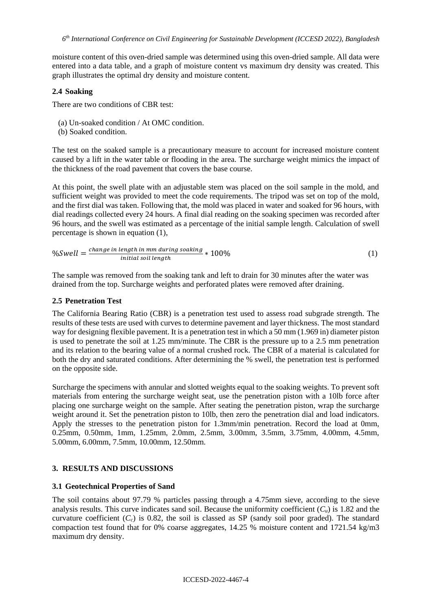*6 th International Conference on Civil Engineering for Sustainable Development (ICCESD 2022), Bangladesh*

moisture content of this oven-dried sample was determined using this oven-dried sample. All data were entered into a data table, and a graph of moisture content vs maximum dry density was created. This graph illustrates the optimal dry density and moisture content.

### **2.4 Soaking**

There are two conditions of CBR test:

- (a) Un-soaked condition / At OMC condition.
- (b) Soaked condition.

The test on the soaked sample is a precautionary measure to account for increased moisture content caused by a lift in the water table or flooding in the area. The surcharge weight mimics the impact of the thickness of the road pavement that covers the base course.

At this point, the swell plate with an adjustable stem was placed on the soil sample in the mold, and sufficient weight was provided to meet the code requirements. The tripod was set on top of the mold, and the first dial was taken. Following that, the mold was placed in water and soaked for 96 hours, with dial readings collected every 24 hours. A final dial reading on the soaking specimen was recorded after 96 hours, and the swell was estimated as a percentage of the initial sample length. Calculation of swell percentage is shown in equation (1),

$$
\%Swell = \frac{\text{change in length in mm during soaking}}{\text{initial soil length}} * 100\%
$$
 (1)

The sample was removed from the soaking tank and left to drain for 30 minutes after the water was drained from the top. Surcharge weights and perforated plates were removed after draining.

### **2.5 Penetration Test**

The California Bearing Ratio (CBR) is a penetration test used to assess road subgrade strength. The results of these tests are used with curves to determine pavement and layer thickness. The most standard way for designing flexible pavement. It is a penetration test in which a 50 mm (1.969 in) diameter piston is used to penetrate the soil at 1.25 mm/minute. The CBR is the pressure up to a 2.5 mm penetration and its relation to the bearing value of a normal crushed rock. The CBR of a material is calculated for both the dry and saturated conditions. After determining the % swell, the penetration test is performed on the opposite side.

Surcharge the specimens with annular and slotted weights equal to the soaking weights. To prevent soft materials from entering the surcharge weight seat, use the penetration piston with a 10lb force after placing one surcharge weight on the sample. After seating the penetration piston, wrap the surcharge weight around it. Set the penetration piston to 10lb, then zero the penetration dial and load indicators. Apply the stresses to the penetration piston for 1.3mm/min penetration. Record the load at 0mm, 0.25mm, 0.50mm, 1mm, 1.25mm, 2.0mm, 2.5mm, 3.00mm, 3.5mm, 3.75mm, 4.00mm, 4.5mm, 5.00mm, 6.00mm, 7.5mm, 10.00mm, 12.50mm.

## **3. RESULTS AND DISCUSSIONS**

## **3.1 Geotechnical Properties of Sand**

The soil contains about 97.79 % particles passing through a 4.75mm sieve, according to the sieve analysis results. This curve indicates sand soil. Because the uniformity coefficient  $(C_u)$  is 1.82 and the curvature coefficient  $(C_c)$  is 0.82, the soil is classed as SP (sandy soil poor graded). The standard compaction test found that for 0% coarse aggregates, 14.25 % moisture content and 1721.54 kg/m3 maximum dry density.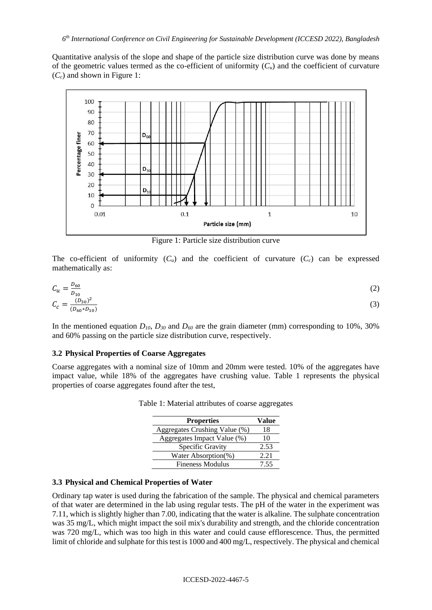Quantitative analysis of the slope and shape of the particle size distribution curve was done by means of the geometric values termed as the co-efficient of uniformity  $(C_u)$  and the coefficient of curvature (*Cc*) and shown in Figure 1:



Figure 1: Particle size distribution curve

The co-efficient of uniformity  $(C_u)$  and the coefficient of curvature  $(C_c)$  can be expressed mathematically as:

$$
C_u = \frac{D_{60}}{D_{10}}
$$
  
\n
$$
C_c = \frac{(D_{30})^2}{(D_{60} * D_{10})}
$$
\n(2)

In the mentioned equation *D10*, *D<sup>30</sup>* and *D<sup>60</sup>* are the grain diameter (mm) corresponding to 10%, 30% and 60% passing on the particle size distribution curve, respectively.

#### **3.2 Physical Properties of Coarse Aggregates**

Coarse aggregates with a nominal size of 10mm and 20mm were tested. 10% of the aggregates have impact value, while 18% of the aggregates have crushing value. Table 1 represents the physical properties of coarse aggregates found after the test,

| <b>Properties</b>             | Value |
|-------------------------------|-------|
| Aggregates Crushing Value (%) | 18    |
| Aggregates Impact Value (%)   | 10    |
| Specific Gravity              | 2.53  |
| Water Absorption(%)           | 2.21  |
| <b>Fineness Modulus</b>       | 7 55  |

Table 1: Material attributes of coarse aggregates

#### **3.3 Physical and Chemical Properties of Water**

Ordinary tap water is used during the fabrication of the sample. The physical and chemical parameters of that water are determined in the lab using regular tests. The pH of the water in the experiment was 7.11, which is slightly higher than 7.00, indicating that the water is alkaline. The sulphate concentration was 35 mg/L, which might impact the soil mix's durability and strength, and the chloride concentration was 720 mg/L, which was too high in this water and could cause efflorescence. Thus, the permitted limit of chloride and sulphate for this test is 1000 and 400 mg/L, respectively. The physical and chemical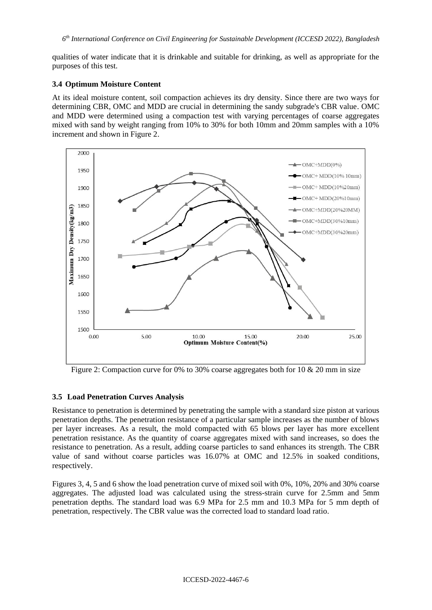qualities of water indicate that it is drinkable and suitable for drinking, as well as appropriate for the purposes of this test.

### **3.4 Optimum Moisture Content**

At its ideal moisture content, soil compaction achieves its dry density. Since there are two ways for determining CBR, OMC and MDD are crucial in determining the sandy subgrade's CBR value. OMC and MDD were determined using a compaction test with varying percentages of coarse aggregates mixed with sand by weight ranging from 10% to 30% for both 10mm and 20mm samples with a 10% increment and shown in Figure 2.



Figure 2: Compaction curve for 0% to 30% coarse aggregates both for 10 & 20 mm in size

## **3.5 Load Penetration Curves Analysis**

Resistance to penetration is determined by penetrating the sample with a standard size piston at various penetration depths. The penetration resistance of a particular sample increases as the number of blows per layer increases. As a result, the mold compacted with 65 blows per layer has more excellent penetration resistance. As the quantity of coarse aggregates mixed with sand increases, so does the resistance to penetration. As a result, adding coarse particles to sand enhances its strength. The CBR value of sand without coarse particles was 16.07% at OMC and 12.5% in soaked conditions, respectively.

Figures 3, 4, 5 and 6 show the load penetration curve of mixed soil with 0%, 10%, 20% and 30% coarse aggregates. The adjusted load was calculated using the stress-strain curve for 2.5mm and 5mm penetration depths. The standard load was 6.9 MPa for 2.5 mm and 10.3 MPa for 5 mm depth of penetration, respectively. The CBR value was the corrected load to standard load ratio.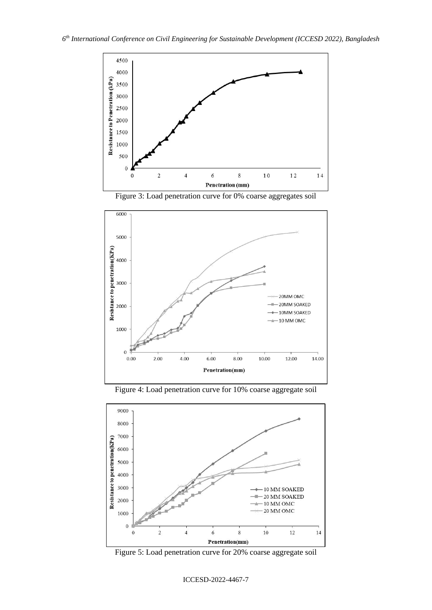

Figure 3: Load penetration curve for 0% coarse aggregates soil







Figure 5: Load penetration curve for 20% coarse aggregate soil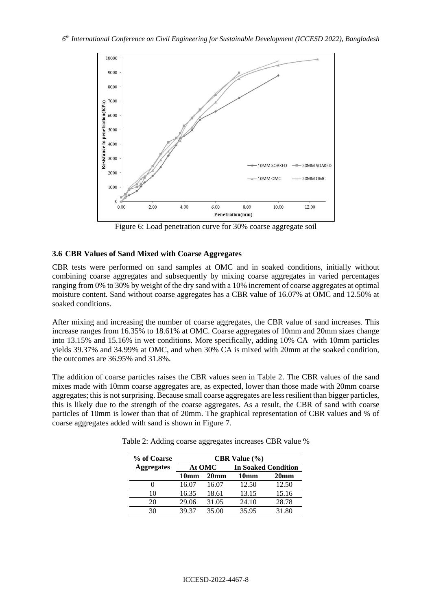

Figure 6: Load penetration curve for 30% coarse aggregate soil

### **3.6 CBR Values of Sand Mixed with Coarse Aggregates**

CBR tests were performed on sand samples at OMC and in soaked conditions, initially without combining coarse aggregates and subsequently by mixing coarse aggregates in varied percentages ranging from 0% to 30% by weight of the dry sand with a 10% increment of coarse aggregates at optimal moisture content. Sand without coarse aggregates has a CBR value of 16.07% at OMC and 12.50% at soaked conditions.

After mixing and increasing the number of coarse aggregates, the CBR value of sand increases. This increase ranges from 16.35% to 18.61% at OMC. Coarse aggregates of 10mm and 20mm sizes change into 13.15% and 15.16% in wet conditions. More specifically, adding 10% CA with 10mm particles yields 39.37% and 34.99% at OMC, and when 30% CA is mixed with 20mm at the soaked condition, the outcomes are 36.95% and 31.8%.

The addition of coarse particles raises the CBR values seen in Table 2. The CBR values of the sand mixes made with 10mm coarse aggregates are, as expected, lower than those made with 20mm coarse aggregates; this is not surprising. Because small coarse aggregates are less resilient than bigger particles, this is likely due to the strength of the coarse aggregates. As a result, the CBR of sand with coarse particles of 10mm is lower than that of 20mm. The graphical representation of CBR values and % of coarse aggregates added with sand is shown in Figure 7.

| % of Coarse       | <b>CBR</b> Value $\left(\frac{9}{6}\right)$ |                  |                            |                  |  |
|-------------------|---------------------------------------------|------------------|----------------------------|------------------|--|
| <b>Aggregates</b> | At OMC                                      |                  | <b>In Soaked Condition</b> |                  |  |
|                   | 10 <sub>mm</sub>                            | 20 <sub>mm</sub> | 10mm                       | 20 <sub>mm</sub> |  |
|                   | 16.07                                       | 16.07            | 12.50                      | 12.50            |  |
| 10                | 16.35                                       | 18.61            | 13.15                      | 15.16            |  |
| 20                | 29.06                                       | 31.05            | 24.10                      | 28.78            |  |
| 30                | 39.37                                       | 35.00            | 35.95                      | 31.80            |  |

Table 2: Adding coarse aggregates increases CBR value %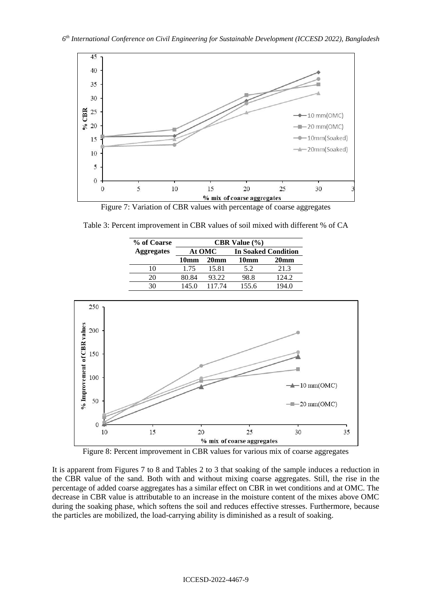

Figure 7: Variation of CBR values with percentage of coarse aggregates

Table 3: Percent improvement in CBR values of soil mixed with different % of CA

| % of Coarse       | <b>CBR</b> Value $\left(\frac{9}{6}\right)$ |                  |                            |                  |
|-------------------|---------------------------------------------|------------------|----------------------------|------------------|
| <b>Aggregates</b> | At OMC                                      |                  | <b>In Soaked Condition</b> |                  |
|                   | 10mm                                        | 20 <sub>mm</sub> | 10mm                       | 20 <sub>mm</sub> |
| 10                | 1.75                                        | 15.81            | 5.2                        | 21.3             |
| 20                | 80.84                                       | 93.22            | 98.8                       | 124.2            |
| 30                | 145.0                                       | 117.74           | 155.6                      | 194.0            |



Figure 8: Percent improvement in CBR values for various mix of coarse aggregates

It is apparent from Figures 7 to 8 and Tables 2 to 3 that soaking of the sample induces a reduction in the CBR value of the sand. Both with and without mixing coarse aggregates. Still, the rise in the percentage of added coarse aggregates has a similar effect on CBR in wet conditions and at OMC. The decrease in CBR value is attributable to an increase in the moisture content of the mixes above OMC during the soaking phase, which softens the soil and reduces effective stresses. Furthermore, because the particles are mobilized, the load-carrying ability is diminished as a result of soaking.